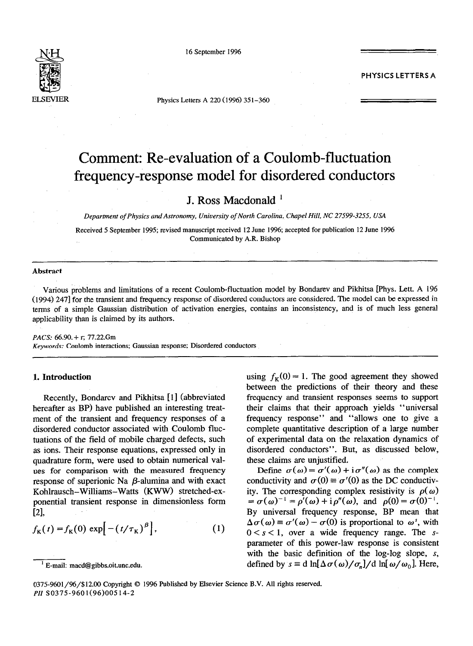

16 September **1996** 

**PHYSICS LETTERS A** 

Physics Letters A 220 (1996) 351-360

# Comment: Re-evaluation of a Coulomb-fluctuation frequency-response model for disordered conductors

## J. Ross Macdonald '

*Department of Physics* and *Astronomy, Uniuersiv of North Carolina, Chapel Hill, NC 27599-3255, USA* 

Received 5 September 1995; revised manuscript received 12 June 1996; accepted for publication 12 June 1996 Communicated by A.R. Bishop

#### **Abstract**

Various problems and limitations of a recent Coulomb-fluctuation model by Bondarev and Pikhitsa [Phys. Lett. A 196 (1994) 2471 for the transient and frequency response of disordered conductors are considered. The model can be expressed in terms of a simple Gaussian distribution of activation energies, contains an inconsistency, and is of much less general applicability than is claimed by its authors.

#### *PACS: 66.90. + r;* 77.22.Gm

*Keywords:* Coulomb interactions; Gaussian response; Disordered conductors

## **1. Introduction**

Recently, Bondarev and Pikhitsa [I] (abbreviated hereafter as BP) have published an interesting treatment of the transient and frequency responses of a disordered conductor associated with Coulomb fluctuations. of the field of mobile charged defects, such as ions. Their response equations, expressed only in quadrature form, were used to obtain numerical values for comparison with the measured frequency response of superionic Na  $\beta$ -alumina and with exact Kohlrausch-Williams-Watts (KWW) stretched-exponential transient response in dimensionless form  $[2]$ 

$$
f_{\mathbf{K}}(t) = f_{\mathbf{K}}(0) \exp\left[-\left(t/\tau_{\mathbf{K}}\right)^{\beta}\right],\tag{1}
$$

using  $f_K(0) = 1$ . The good agreement they showed between the predictions of their theory and these frequency and transient responses seems to support their claims that their approach yields "universal frequency response" and "allows one to give a complete quantitative description of a large number of experimental data on the relaxation dynamics of disordered conductors". But, as discussed below, these claims are unjustified.

Define  $\sigma(\omega) = \sigma'(\omega) + i \sigma''(\omega)$  as the complex conductivity and  $\sigma(0) \equiv \sigma'(0)$  as the DC conductivity. The corresponding complex resistivity is  $\rho(\omega)$  $= \sigma(\omega)^{-1} = \rho'(\omega) + i \rho''(\omega)$ , and  $\rho(0) = \sigma(0)^{-1}$ . By universal frequency response, BP mean that  $\Delta \sigma(\omega) = \sigma'(\omega) - \sigma(0)$  is proportional to  $\omega^s$ , with  $0 < s < 1$ , over a wide frequency range. The sparameter of this power-law response is consistent with the basic definition of the log-log slope,  $s$ , defined by  $s \equiv d \ln[\Delta \sigma(\omega)/\sigma_n]/d \ln[\omega/\omega_0]$ . Here,

<sup>&#</sup>x27; E-mail: macd@gibbs.oit.unc.edu.

<sup>0375-9601/96/\$12.00</sup> Copyright © 1996 Published by Elsevier Science B.V. All rights reserved. *PII* SO375-9601(96)00514-2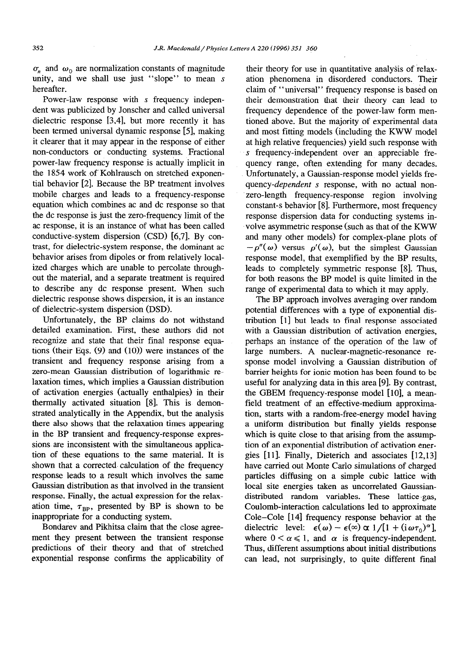$\sigma_n$  and  $\omega_0$  are normalization constants of magnitude unity, and we shall use just "slope" to mean s hereafter.

Power-law response with s frequency independent was publicized by Jonscher and called universal dielectric response [3,4], but more recently it has been termed universal dynamic response [5], making it clearer that it may appear in the response of either non-conductors or conducting systems. Fractional power-law frequency response is actually implicit in the 1854 work of Kohlrausch on stretched exponential behavior [2]. Because the BP treatment involves mobile charges and leads to a frequency-response equation which combines ac and dc response so that the dc response is just the zero-frequency limit of the ac response, it is an instance of what has been called conductive-system dispersion (CSD) [6,7]. By contrast, for dielectric-system response, the dominant ac behavior arises from dipoles or from relatively localized charges which are unable to percolate throughout the material, and a separate treatment is required to describe any dc response present. When such dielectric response shows dispersion, it is an instance of dielectric-system dispersion (DSD).

Unfortunately, the BP claims do not withstand detailed examination. First, these authors did not recognize and state that their final response equations (their Eqs. (9) and (10)) were instances of the transient and frequency response arising from a zero-mean Gaussian distribution of logarithmic relaxation times, which implies a Gaussian distribution of activation energies (actually enthalpies) in their thermally activated situation [8]. This is demonstrated analytically in the Appendix, but the analysis there also shows that the relaxation times appearing in the BP transient and frequency-response expressions are inconsistent with the simultaneous application of these equations to the same material. It is shown that a corrected. calculation of the frequency response leads to a result which involves the same Gaussian distribution as that involved in the transient response. Finally, the actual expression for the relaxation time,  $\tau_{\text{RP}}$ , presented by BP is shown to be inappropriate for a conducting system.

Bondarev and Pikhitsa claim that the close agreement they present between the transient response predictions of their theory and that of stretched exponential response confirms the applicability of

their theory for use in quantitative analysis of relaxation phenomena in disordered conductors. Their claim of "universal" frequency response is based on their demonstration that their theory can lead to frequency dependence of the power-law form mentioned above. But the majority of experimental data and most fitting models (including the KWW model at high relative frequencies) yield such response with s frequency-independent over an appreciable frequency range, often extending for many decades. Unfortunately, a Gaussian-response model yields fre*quency-dependent s* response, with no actual nonzero-length frequency-response region involving constant-s behavior [8]. Furthermore, most frequency response dispersion data for conducting systems involve asymmetric response (such as that of the KWW and many other models) for complex-plane plots of  $-p''(\omega)$  versus  $p'(\omega)$ , but the simplest Gaussian response model, that exemplified by the BP results, leads to completely symmetric response [8]. Thus, for both reasons the BP model is quite limited in the range of experimental data to which it may apply.

The BP approach involves averaging over random potential differences with a type of exponential distribution [l] but leads to final response associated with a Gaussian distribution of activation energies, perhaps an instance of the operation of the law of large numbers. A nuclear-magnetic-resonance response model involving a Gaussian distribution of barrier heights for ionic motion has been found to be useful for analyzing data in this area [9]. By contrast, the GBEM frequency-response model [10], a meanfield treatment of an effective-medium approximation, starts with a random-free-energy model having a uniform distribution but finally yields response which is quite close to that arising from the assumption of an exponential distribution of activation energies [11]. Finally, Dieterich and associates [12,13] have carried out Monte Carlo simulations of charged particles diffusing on a simple cubic lattice with local site energies taken as uncorrelated Gaussiandistributed random variables. These lattice-gas, Coulomb-interaction calculations led to approximate Cole-Cole [14] frequency response behavior at the dielectric level:  $\epsilon(\omega) - \epsilon(\infty) \propto 1/[1 + (i\omega\tau_0)^{\alpha}],$ where  $0 < \alpha \le 1$ , and  $\alpha$  is frequency-independent. Thus, different assumptions about initial distributions can lead, not surprisingly, to quite different final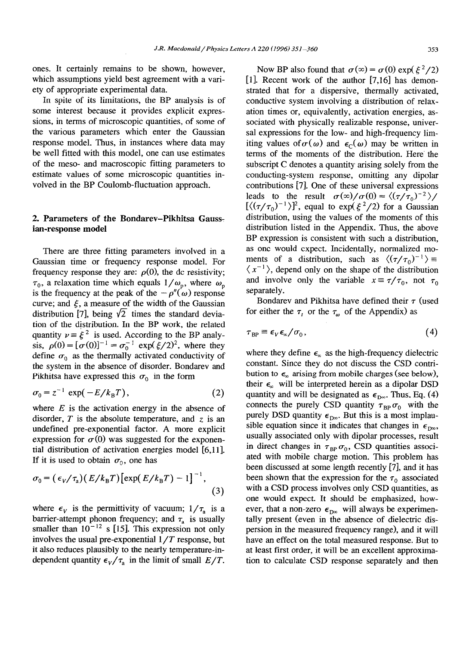ones. It certainly remains to be shown, however, which assumptions yield best agreement with a variety of appropriate experimental data.

In spite of its limitations, the BP analysis is of some interest because it provides explicit expressions, in terms of microscopic quantities, of some of the various parameters which enter the Gaussian response model. Thus, in instances where data may be well fitted with this model, one can use estimates of the meso- and macroscopic fitting parameters to estimate values of some microscopic quantities involved in the BP Coulomb-fluctuation approach.

## 2. Parameters of the Bondarev-Pikhitsa Gauss**ian-response model**

There are three fitting parameters involved in a Gaussian time or frequency response model. For frequency response they are:  $\rho(0)$ , the dc resistivity;  $\tau_0$ , a relaxation time which equals  $1/\omega_{\rm p}$ , where  $\omega_{\rm p}$ is the frequency at the peak of the  $-\rho''(\omega)$  response curve; and  $\xi$ , a measure of the width of the Gaussian distribution [7], being  $\sqrt{2}$  times the standard deviation of the djstribution. In the BP work, the related quantity  $v \equiv \xi^2$  is used. According to the BP analysis,  $\rho(0) = [\sigma(0)]^{-1} = \sigma_0^{-1} \exp(\frac{\zeta}{2})^2$ , where they define  $\sigma_0$  as the thermally activated conductivity of the system in the absence of disorder. Bondarev and Pikhitsa have expressed this  $\sigma_0$  in the form

$$
\sigma_0 = z^{-1} \exp(-E/k_B T), \qquad (2)
$$

where  $E$  is the activation energy in the absence of disorder,  $T$  is the absolute temperature, and  $\zeta$  is an undefined pre-exponential factor. A more explicit expression for  $\sigma(0)$  was suggested for the exponential distribution of activation energies model [6,11]. If it is used to obtain  $\sigma_0$ , one has

$$
\sigma_0 = \left(\epsilon_V/\tau_a\right) \left(E/k_B T\right) \left[\exp\left(E/k_B T\right) - 1\right]^{-1},\tag{3}
$$

where  $\epsilon_{v}$  is the permittivity of vacuum;  $1/\tau_{a}$  is a barrier-attempt phonon frequency; and  $\tau_a$  is usually smaller than  $10^{-12}$  s [15]. This expression not only involves the usual pre-exponential **l/T** response, but it also reduces plausibly to the nearly temperature-independent quantity  $\epsilon_V/\tau_a$  in the limit of small  $E/T$ .

Now BP also found that  $\sigma(\infty) = \sigma(0) \exp(\xi^2/2)$ [l]. Recent work of the author [7,16] has demonstrated that for a dispersive, thermally activated, conductive system involving a distribution of relaxation times or, equivalently, activation energies, associated with physically realizable response, universal expressions for the low- and high-frequency limiting values of  $\sigma(\omega)$  and  $\epsilon_c(\omega)$  may be written in terms of the moments of the distribution. Here' the subscript C denotes a quantity arising solely from the conducting-system response, omitting any dipolar contributions [7]. One of these universal expressions leads to the result  $\sigma(\infty)/\sigma(0) = \langle (\tau/\tau_0)^{-2} \rangle$  $[\langle (\tau/\tau_0)^{-1} \rangle]^2$ , equal to exp( $\xi^2/2$ ) for a Gaussian distribution, using the values of the moments of this distribution listed in the Appendix. Thus, the above BP expression is consistent with such a distribution, as one would expect. Incidentally, normalized moments of a distribution, such as  $\langle (\tau/\tau_0)^{-1} \rangle =$  $\langle x^{-1} \rangle$ , depend only on the shape of the distribution and involve only the variable  $x = \tau / \tau_0$ , not  $\tau_0$ separately.

Bondarev and Pikhitsa have defined their  $\tau$  (used for either the  $\tau$ , or the  $\tau_{\omega}$  of the Appendix) as

$$
\tau_{\rm BP} \equiv \epsilon_{V} \epsilon_{\rm x}/\sigma_{0},\tag{4}
$$

where they define  $\epsilon_n$  as the high-frequency dielectric constant. Since they do not discuss the CSD contribution to  $\epsilon_n$  arising from mobile charges (see below), their  $\epsilon_{\infty}$  will be interpreted herein as a dipolar DSD quantity and will be designated as  $\epsilon_{\text{p}_{\text{m}}}$ . Thus, Eq. (4) connects the purely CSD quantity  $\tau_{BP} \sigma_0$  with the purely DSD quantity  $\epsilon_{D\infty}$ . But this is a most implausible equation since it indicates that changes in  $\epsilon_{\text{no}}$ , usually associated only with dipolar processes, result in direct changes in  $\tau_{BP} \sigma_0$ , CSD quantities associated with mobile charge motion. This problem has been discussed at some length recently [7], and it has been shown that the expression for the  $\tau_0$  associated with a CSD process involves only CSD quantities, as one would expect. It should be emphasized, however, that a non-zero  $\epsilon_{\text{n}_{\infty}}$  will always be experimentally present (even in the absence of dielectric dispersion in the measured frequency range), and it will have an effect on the total measured response. But to at least first order, it will be an excellent approximation to calculate CSD response separately and then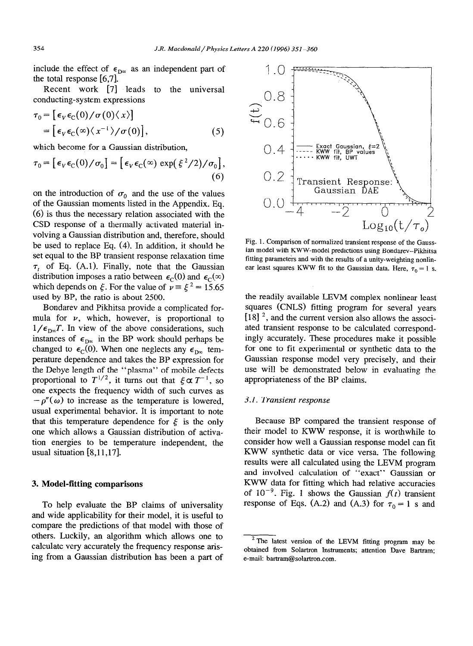include the effect of  $\epsilon_{\text{p}\infty}$  as an independent part of the total response [6,7].

Recent work [7] leads to the universal conducting-system expressions

$$
\tau_0 = [\epsilon_V \epsilon_C(0) / \sigma(0) \langle x \rangle]
$$
  
= [\epsilon\_V \epsilon\_C(\infty) \langle x^{-1} \rangle / \sigma(0)], \qquad (5)

which become for a Gaussian distribution,

$$
\tau_0 = \left[ \epsilon_V \epsilon_C(0) / \sigma_0 \right] = \left[ \epsilon_V \epsilon_C(\infty) \exp(\xi^2 / 2) / \sigma_0 \right],\tag{6}
$$

on the introduction of  $\sigma_0$  and the use of the values of the Gaussian moments listed in the Appendix. Eq. (6) is thus the necessary relation associated with the CSD response of a thermally activated material involving a Gaussian distribution and, therefore, should be used to replace Eq. (4). In addition, it should be set equal to the BP transient response relaxation time  $\tau_t$  of Eq. (A.1). Finally, note that the Gaussian distribution imposes a ratio between  $\epsilon_C(0)$  and  $\epsilon_C(\infty)$ which depends on  $\xi$ . For the value of  $\nu = \xi^2 = 15.65$ used by BP, the ratio is about 2500.

Bondarev and Pikhitsa provide a complicated formula for  $\nu$ , which, however, is proportional to  $1/\epsilon_{D\infty}T$ . In view of the above considerations, such instances of  $\epsilon_{\text{D}\infty}$  in the BP work should perhaps be changed to  $\epsilon_{\rm C}(0)$ . When one neglects any  $\epsilon_{\rm D\infty}$  temperature dependence and takes the BP expression for the Debye length of the "plasma" of mobile defects proportional to  $T^{1/2}$ , it turns out that  $\xi \propto T^{-1}$ , so one expects the frequency width of such curves as  $-p''(\omega)$  to increase as the temperature is lowered, usual experimental behavior. It is important to note that this temperature dependence for  $\xi$  is the only one which allows a Gaussian distribution of activation energies to be temperature independent, the usual situation [8,11,17].

#### 3. **Model-fitting comparisons**

To help evaluate the BP claims of universality and wide applicability for their model, it is useful to compare the predictions of that model with those of others. Luckily, an algorithm which allows one to calculate very accurately the frequency response arising from a Gaussian distribution has been a part of



Fig. 1. Comparison of normalized transient response of the Gaussian model with KWW-model predictions using Bondarev-Pikhitsa fitting parameters and with the results of a unity-weighting nonlinear least squares KWW fit to the Gaussian data. Here,  $\tau_0 = 1$  s.

the readily available LEVM complex nonlinear least squares (CNLS) fitting program for several years  $[18]$ <sup>2</sup>, and the current version also allows the associated transient response to be calculated correspondingly accurately. These procedures make it possible for one to fit experimental or synthetic data to the Gaussian response model very precisely, and their use will be demonstrated below in evaluating the appropriateness of the BP claims.

#### 3.1. *Transient response*

Because BP compared the transient response of their model to KWW response, it is worthwhile to consider how well a Gaussian response model can fit KWW synthetic data or vice versa. The following results were all calculated using the LEVM program and involved calculation of "exact" Gaussian or KWW data for fitting which had relative accuracies of  $10^{-9}$ . Fig. 1 shows the Gaussian  $f(t)$  transient response of Eqs. (A.2) and (A.3) for  $\tau_0 = 1$  s and

<sup>&</sup>lt;sup>2</sup> The latest version of the LEVM fitting program may be obtained from Solartron Instruments; attention Dave Bartram: e-mail: bartram@solartron.com.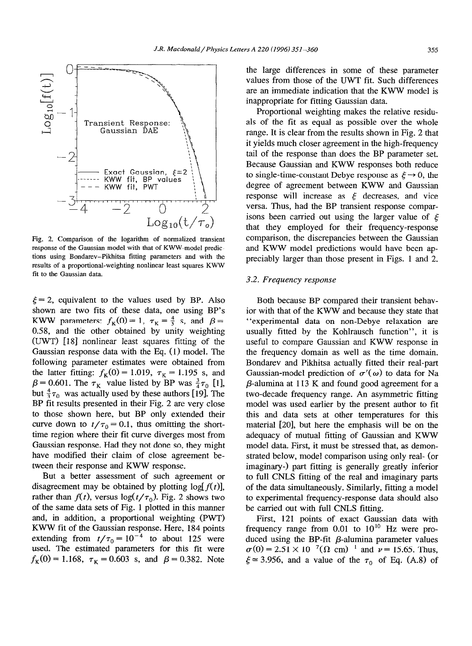

Fig. 2. Comparison of the logarithm of normalized transient response of the Gaussian model with that of KWW-model predictions using Bondarev-Pikhitsa fitting parameters and with the results of a proportional-weighting nonlinear least squares KWW fit to the Gaussian data.

 $\xi = 2$ , equivalent to the values used by BP. Also shown are two fits of these data, one using BP's KWW parameters:  $f_K(0) = 1$ ,  $\tau_K = \frac{4}{3}$  s, and  $\beta =$ 0.58, and the other obtained by unity weighting (UWT) [18] nonlinear least squares fitting of the Gaussian response data with the Eq. (1) model. The following parameter estimates were obtained from the latter fitting:  $f_K(0) = 1.019$ ,  $\tau_K = 1.195$  s, and  $\beta$  = 0.601. The  $\tau_K$  value listed by BP was  $\frac{3}{4}\tau_0$  [1], but  $\frac{4}{3}\tau_0$  was actually used by these authors [19]. The BP fit results presented in their Fig. 2 are very close to those shown here, but BP only extended their curve down to  $t/\tau_0 = 0.1$ , thus omitting the shorttime region where their fit curve diverges most from Gaussian response. Had they not done so, they might have modified their claim of close agreement between their response and KWW response.

But a better assessment of such agreement or disagreement may be obtained by plotting  $log[f(t)]$ , rather than  $f(t)$ , versus  $\log(t/\tau_0)$ . Fig. 2 shows two of the same data sets of Fig. 1 plotted in this manner and, in addition, a proportional weighting (PWT) KWW fit of the Gaussian response. Here, 184 points extending from  $t/\tau_0 = 10^{-4}$  to about 125 were used. The estimated parameters for this fit were  $f_{\rm K}(0) = 1.168$ ,  $\tau_{\rm K} = 0.603$  s, and  $\beta = 0.382$ . Note the large differences in some of these parameter values from those of the UWT fit. Such differences are an immediate indication that the KWW model is inappropriate for fitting Gaussian data.

Proportional weighting makes the relative residuals of the fit as equal as possible over the whole range. It is clear from the results shown in Fig. 2 that it yields much closer agreement in the high-frequency tail of the response than does the BP parameter set. Because Gaussian and KWW responses both reduce to single-time-constant Debye response as  $\xi \rightarrow 0$ , the degree of agreement between KWW and Gaussian response will increase as  $\xi$  decreases, and vice versa. Thus, had the BP transient response comparisons been carried out using the larger value of  $\xi$ that they employed for their frequency-response comparison, the discrepancies between the Gaussian and KWW model predictions would have been appreciably larger than those present in Figs. 1 and 2.

## 3.2. *Frequency response*

Both because BP compared their transient behavior with that of the KWW and because they state that "experimental data on non-Debye relaxation are usually fitted by the Kohlrausch function", it is useful to compare Gaussian and KWW response in the frequency domain as well as the time domain. Bondarev and Pikhitsa actually fitted their real-part Gaussian-model prediction of  $\sigma'(\omega)$  to data for Na p-alumina at 113 K and found good agreement for a two-decade frequency range. An asymmetric fitting model was used earlier by the present author to fit this and data sets at other temperatures for this material [20], but here the emphasis will be on the adequacy of mutual fitting of Gaussian and KWW model data. First, it must be stressed that, as demonstrated below, model comparison using only real- (or imaginary-) part fitting is generally greatly inferior to full CNLS fitting of the real and imaginary parts of the data simultaneously. Similarly, fitting a model to experimental frequency-response data should also be carried out with full CNLS fitting.

First, 121 points of exact Gaussian data with frequency range from  $0.01$  to  $10^{10}$  Hz were produced using the BP-fit  $\beta$ -alumina parameter values  $\sigma(0) = 2.51 \times 10^{-7} (\Omega \text{ cm})^{-1}$  and  $\nu = 15.65$ . Thus,  $\xi \approx 3.956$ , and a value of the  $\tau_0$  of Eq. (A.8) of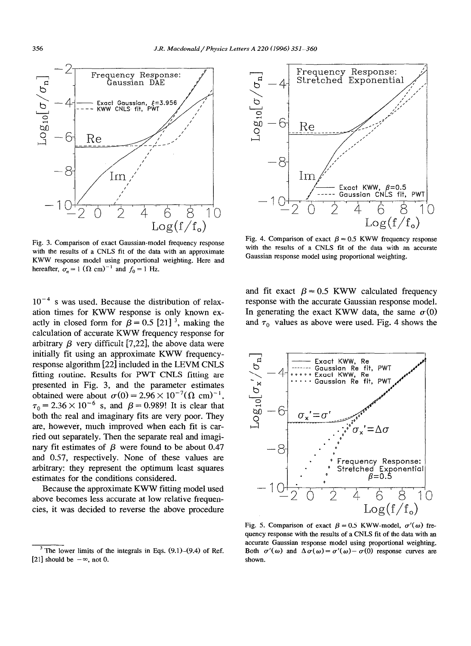

Fig. 3. Comparison of exact Gaussian-model frequency response with the results of a CNLS fit of the data with an approximate KWW response model using proportional weighting. Here and hereafter,  $\sigma_n = 1$  ( $\Omega$  cm)<sup>-1</sup> and  $f_0 = 1$  Hz.

 $10^{-4}$  s was used. Because the distribution of relaxation times for KWW response is only known exactly in closed form for  $\beta = 0.5$  [21]<sup>3</sup>, making the calculation of accurate KWW frequency response for arbitrary  $\beta$  very difficult [7,22], the above data were initially fit using an approximate KWW frequencyresponse algorithm [22] included in the LEVM CNLS fitting routine. Results for PWT CNLS fitting are presented in Fig. 3, and the parameter estimates obtained were about  $\sigma(0) = 2.96 \times 10^{-7} (\Omega \text{ cm})^{-1}$ ,  $\tau_0 = 2.36 \times 10^{-6}$  s, and  $\beta = 0.989!$  It is clear that both the real and imaginary fits are very poor. They are, however, much improved when each fit is carried out separately. Then the separate real and imaginary fit estimates of  $\beta$  were found to be about 0.47 and 0.57, respectively. None of these values are arbitrary: they represent the optimum least squares estimates for the conditions considered.

Because the approximate KWW fitting model used above becomes less accurate at low relative frequencies, it was decided to reverse the above procedure



Fig. 4. Comparison of exact  $\beta = 0.5$  KWW frequency response with the results of a CNLS fit of the data with an accurate Gaussian response model using proportional weighting.

and fit exact  $\beta = 0.5$  KWW calculated frequency response with the accurate Gaussian response model. In generating the exact KWW data, the same  $\sigma(0)$ and  $\tau_0$  values as above were used. Fig. 4 shows the



Fig. 5. Comparison of exact  $\beta = 0.5$  KWW-model,  $\sigma'(\omega)$  frequency response with the results of a CNLS fit of the data with an accurate Gaussian response model using proportional weighting. Both  $\sigma'(\omega)$  and  $\Delta \sigma(\omega) = \sigma'(\omega) - \sigma(0)$  response curves are shown.

 $3$  The lower limits of the integrals in Eqs. (9.1)–(9.4) of Ref. [21] should be  $-\infty$ , not 0.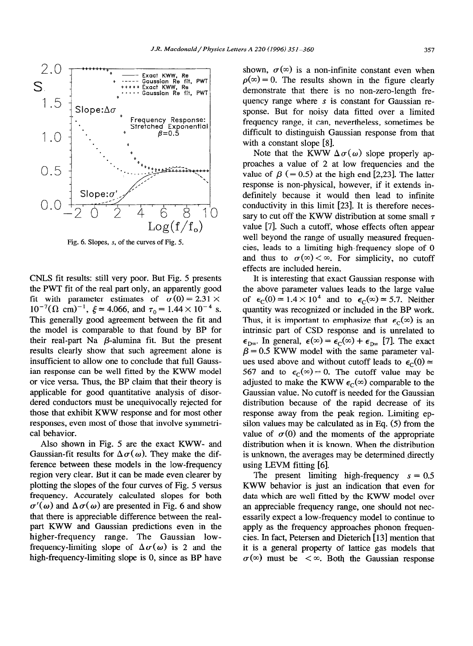

**Fig. 6. Slopes, s,** of the curves **of Fig. 5.** 

CNLS fit results: still very poor. But Fig. 5 presents the PWT fit of the real part only, an apparently good fit with parameter estimates of  $\sigma(0) = 2.31 \times$  $10^{-7}$ ( $\Omega$  cm)<sup>-1</sup>,  $\xi \approx 4.066$ , and  $\tau_0 = 1.44 \times 10^{-4}$  s. This generally good agreement between the fit and the model is comparable to that found by BP for their real-part Na  $\beta$ -alumina fit. But the present results clearly show that such agreement alone is insufficient to allow one to conclude that full Gaussian response can be well fitted by the KWW model or vice versa. Thus, the BP claim that their theory is applicable for good quantitative analysis of disordered conductors must be unequivocally rejected for those that exhibit KWW response and for most other responses, even most of those that involve symmetrical behavior.

Also shown in Fig. 5 are the exact KWW- and Gaussian-fit results for  $\Delta\sigma(\omega)$ . They make the difference between these models in the low-frequency region very clear. But it can be made even clearer by plotting the slopes of the four curves of Fig. 5 versus frequency. Accurately calculated slopes for both  $\sigma'(\omega)$  and  $\Delta \sigma(\omega)$  are presented in Fig. 6 and show that there is appreciable difference between the realpart KWW and Gaussian predictions even in the higher-frequency range. The Gaussian lowfrequency-limiting slope of  $\Delta\sigma(\omega)$  is 2 and the high-frequency-limiting slope is 0, since as BP have

shown,  $\sigma(\infty)$  is a non-infinite constant even when  $p(\infty) = 0$ . The results shown in the figure clearly demonstrate that there is no non-zero-length frequency range where s is constant for Gaussian response. But for noisy data fitted over a limited frequency range, it can, nevertheless, sometimes be difficult to distinguish Gaussian response from that with a constant slope [8].

Note that the KWW  $\Delta \sigma(\omega)$  slope properly approaches a value of 2 at low frequencies and the value of  $\beta$  (= 0.5) at the high end [2,23]. The latter response is non-physical, however, if it extends indefinitely because it would then lead to infinite conductivity in this limit [23]. It is therefore necessary to cut off the KWW distribution at some small  $\tau$ value [7]. Such a cutoff, whose effects often appear well beyond the range of usually measured frequencies, leads to a limiting high-frequency slope of 0 and thus to  $\sigma(\infty) < \infty$ . For simplicity, no cutoff effects are included herein.

It is interesting that exact Gaussian response with the above parameter values leads to the large value of  $\epsilon_C(0) = 1.4 \times 10^4$  and to  $\epsilon_C(\infty) \approx 5.7$ . Neither quantity was recognized or included in the BP work. Thus, it is important to emphasize that  $\epsilon_c(\infty)$  is an intrinsic part of CSD response and is unrelated to  $\epsilon_{D\infty}$ . In general,  $\epsilon(\infty) = \epsilon_{C}(\infty) + \epsilon_{D\infty}$  [7]. The exact  $\beta$  = 0.5 KWW model with the same parameter values used above and without cutoff leads to  $\epsilon_c(0)$  = 567 and to  $\epsilon_{\text{C}}(\infty) = 0$ . The cutoff value may be adjusted to make the KWW  $\epsilon_{\rm c}(\infty)$  comparable to the Gaussian value. No cutoff is needed for the Gaussian distribution because of the rapid decrease of its response away from the peak region. Limiting epsilon values may be calculated as in Eq. (5) from the value of  $\sigma(0)$  and the moments of the appropriate distribution when it is known. When the distribution is unknown, the averages may be determined directly using LEVM fitting [6].

The present limiting high-frequency  $s = 0.5$ KWW behavior is just an indication that even for data which are well fitted by the KWW model over an appreciable frequency range, one should not necessarily expect a low-frequency model to continue to apply as the frequency approaches phonon frequencies. In fact, Petersen and Dieterich [ 131 mention that it is a general property of lattice gas models that  $\sigma(\infty)$  must be  $\lt \infty$ . Both the Gaussian response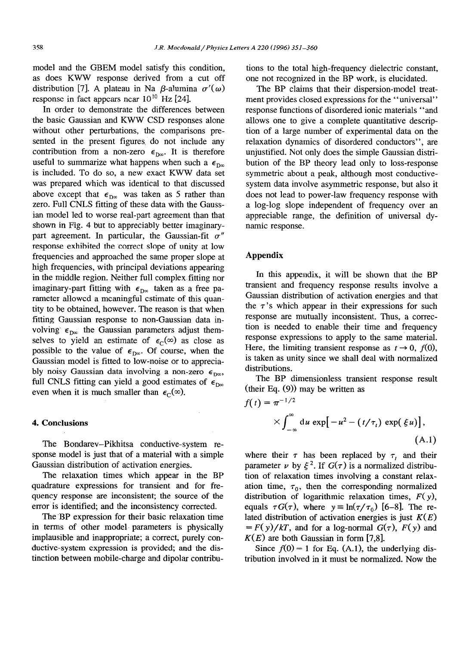model and the GBEM model satisfy this condition, as does KWW response derived from a cut off distribution [7]. A plateau in Na  $\beta$ -alumina  $\sigma'(\omega)$ response in fact appears near  $10^{10}$  Hz [24].

In order to demonstrate the differences between the basic Gaussian and KWW CSD responses alone without other perturbations, the comparisons presented in the present figures. do not include any contribution from a non-zero  $\epsilon_{\text{box}}$ . It is therefore useful to summarize what happens when such a  $\epsilon_{\text{Dn}}$ is included. To do so, a new exact KWW data set was prepared which was identical to that discussed above except that  $\epsilon_{\text{D}\infty}$  was taken as 5 rather than zero. Full CNLS fitting of these data with the Gaussian model led to worse real-part agreement than that shown in Fig. 4 but to appreciably better imaginarypart agreement. In particular, the Gaussian-fit  $\sigma''$ response exhibited the correct slope of unity at low frequencies and approached the same proper slope at high frequencies, with principal deviations appearing in the middle region. Neither full complex fitting nor imaginary-part fitting with  $\epsilon_{D\infty}$  taken as a free parameter allowed a meaningful estimate of this quantity to be obtained, however. The reason is that when fitting Gaussian response to non-Gaussian data involving  $\epsilon_{\text{D}\infty}$  the Gaussian parameters adjust themselves to yield an estimate of  $\epsilon_c(\infty)$  as close as possible to the value of  $\epsilon_{D\infty}$ . Of course, when the Gaussian model is fitted to low-noise or to appreciably noisy Gaussian data involving a non-zero  $\epsilon_{\text{box}}$ , full CNLS fitting can yield a good estimates of  $\epsilon_{\text{D}m}$ even when it is much smaller than  $\epsilon_c(\infty)$ .

#### 4. Conclusions

The Bondarev-Pikhitsa conductive-system response model is just that of a material with a simple Gaussian distribution of activation energies.

The relaxation times which appear in the BP quadrature expressions for transient and for frequency response are inconsistent; the source of the error is identified, and the inconsistency corrected.

The 'BP expression for their basic relaxation time in terms of other model' parameters is physically implausible and inappropriate; a correct, purely conductive-system expression is provided; and the distinction between mobile-charge and dipolar contributions to the total high-frequency dielectric constant, one not recognized in the BP work, is elucidated.

The BP claims that their dispersion-model treatment provides closed expressions for the "universal" response functions of disordered ionic materials "and allows one to give a complete quantitative description of a large number of experimental data on the relaxation dynamics of disordered conductors", are unjustified. Not only does the simple Gaussian distribution of the BP theory lead only to loss-response symmetric about a peak, although most conductivesystem data involve asymmetric response, but also it does not lead to power-law frequency response with a log-log slope independent of frequency over an appreciable range, the definition of universal dynamic response.

## Appendix

In this appendix, it will be shown that the BP transient and frequency response results involve a Gaussian distribution of activation energies and that the  $\tau$ 's which appear in their expressions for such response are mutually inconsistent. Thus, a correction is needed to enable their time and frequency response expressions to apply to the same material. Here, the limiting transient response as  $t \to 0$ ,  $f(0)$ , is taken as unity since we shall deal with normalized distributions.

The BP dimensionless transient response result (their Eq. (9)) may be written as

$$
f(t) = \pi^{-1/2}
$$
  
 
$$
\times \int_{-\infty}^{\infty} du \exp[-u^2 - (t/\tau_t) \exp(\xi u)],
$$
  
(A.1)

where their  $\tau$  has been replaced by  $\tau$ , and their parameter  $\nu$  by  $\xi^2$ . If  $G(\tau)$  is a normalized distribution of relaxation times involving a constant relaxation time,  $\tau_0$ , then the corresponding normalized distribution of logarithmic relaxation times,  $F(y)$ , equals  $\tau G(\tau)$ , where  $y \equiv \ln(\tau/\tau_0)$  [6-8]. The related distribution of activation energies is just  $K(E)$  $= F(y)/kT$ , and for a log-normal  $G(\tau)$ ,  $F(y)$  and  $K(E)$  are both Gaussian in form [7,8].

Since  $f(0) = 1$  for Eq. (A.1), the underlying distribution involved in it must be normalized. Now the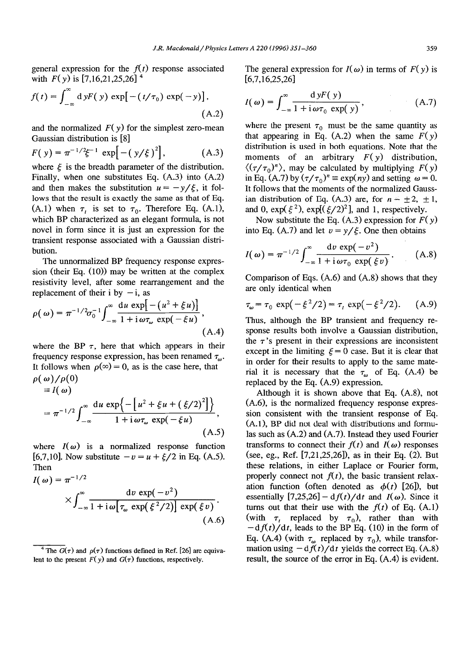general expression for the  $f(t)$  response associated with  $F(y)$  is [7,16,21,25,26]<sup>4</sup>

$$
f(t) = \int_{-\infty}^{\infty} d y F(y) \exp[-(t/\tau_0) \exp(-y)],
$$
\n(A.2)

and the normalized  $F(y)$  for the simplest zero-mean Gaussian distribution is [8]

$$
F(y) = \pi^{-1/2} \xi^{-1} \exp[-(y/\xi)^2], \quad (A.3)
$$

where  $\xi$  is the breadth parameter of the distribution. Finally, when one substitutes Eq. (A.3) into (A.2) and then makes the substitution  $u = -y/\xi$ , it follows that the result is exactly the same as that of Eq. (A.1) when  $\tau_i$  is set to  $\tau_0$ . Therefore Eq. (A.1), which BP characterized as an elegant formula, is not novel in form since it is just an expression for the transient response associated with a Gaussian distribution.

The unnormalized BP frequency response expression (their Eq. (10)) may be written at the complex resistivity level, after some rearrangement and the replacement of their i by  $-i$ , as

$$
\rho(\omega) = \pi^{-1/2}\sigma_0^{-1} \int_{-\infty}^{\infty} \frac{\mathrm{d}u \, \exp[-(u^2 + \xi u)]}{1 + \mathrm{i} \, \omega \tau_{\omega} \, \exp(-\xi u)},\tag{A.4}
$$

where the BP  $\tau$ , here that which appears in their frequency response expression, has been renamed  $\tau_{\omega}$ . It follows when  $\rho(\infty) = 0$ , as is the case here, that  $\rho(\omega)/\rho(0)$  $\equiv I(\omega)$ 

$$
= \pi^{-1/2} \int_{-\infty}^{\infty} \frac{du \, \exp\left\{-\left[u^2 + \xi u + (\xi/2)^2\right]\right\}}{1 + i \, \omega \tau_{\omega} \, \exp(-\xi u)},
$$
\n(A.5)

where  $I(\omega)$  is a normalized response function [6,7,10]. Now substitute  $-v = u + \xi/2$  in Eq. (A.5). Then

$$
I(\omega) = \pi^{-1/2}
$$
  
 
$$
\times \int_{-\infty}^{\infty} \frac{dv \exp(-v^2)}{1 + i\omega[\tau_{\omega} \exp(\xi^2/2)] \exp(\xi v)}.
$$
  
(A.6)

The general expression for  $I(\omega)$  in terms of  $F(y)$  is [6,7,16,25,26]

$$
I(\omega) = \int_{-\infty}^{\infty} \frac{dyF(y)}{1 + i\omega\tau_0 \exp(y)},
$$
 (A.7)

where the present  $\tau_0$  must be the same quantity as that appearing in Eq.  $(A.2)$  when the same  $F(y)$ distribution is used in both equations. Note that the moments of an arbitrary  $F(y)$  distribution,  $\langle (\tau/\tau_0)^n \rangle$ , may be calculated by multiplying *F(y)* in Eq. (A.7) by  $(\tau/\tau_0)^n \equiv \exp(ny)$  and setting  $\omega = 0$ . It follows that the moments of the normalized Gaussian distribution of Eq. (A.3) are, for  $n = \pm 2, \pm 1$ , and 0,  $\exp(\xi^2)$ ,  $\exp[(\xi/2)^2]$ , and 1, respectively.

Now substitute the Eq.  $(A.3)$  expression for  $F(y)$ into Eq. (A.7) and let  $v = y/\xi$ . One then obtains

$$
I(\omega) = \pi^{-1/2} \int_{-\infty}^{\infty} \frac{\mathrm{d}v \, \exp(-v^2)}{1 + \mathrm{i} \, \omega \tau_0 \, \exp(\xi v)}.
$$
 (A.8)

Comparison of Eqs. (A.6) and (A.8) shows that they are only identical when

$$
\tau_{\omega} = \tau_0 \exp(-\xi^2/2) = \tau_t \exp(-\xi^2/2). \quad (A.9)
$$

Thus, although the BP transient and frequency response results both involve a Gaussian distribution, the  $\tau$ 's present in their expressions are inconsistent except in the limiting  $\xi = 0$  case. But it is clear that in order for their results to apply to the same material it is necessary that the  $\tau_{\omega}$  of Eq. (A.4) be replaced by the Eq. (A.9) expression.

Although it is shown above that Eq. (A.8), not (A.6), is the normalized frequency response expression consistent with the transient response of Eq.  $(A.1)$ , BP did not deal with distributions and formulas such as  $(A.2)$  and  $(A.7)$ . Instead they used Fourier transforms to connect their  $f(t)$  and  $I(\omega)$  responses (see, eg., Ref. [7,21,25,26]), as in their Eq. (2). But these relations, in either Laplace or Fourier form, properly connect not  $f(t)$ , the basic transient relaxation function (often denoted as  $\phi(t)$  [26]), but essentially  $[7,25,26]$  – d $f(t)/dt$  and  $I(\omega)$ . Since it turns out that their use with the  $f(t)$  of Eq. (A.1) (with  $\tau_1$  replaced by  $\tau_0$ ), rather than with  $-df(t)/dt$ , leads to the BP Eq. (10) in the form of Eq. (A.4) (with  $\tau_{\omega}$  replaced by  $\tau_0$ ), while transformation using  $-df(t)/dt$  yields the correct Eq. (A.8) result, the source of the error in Eq.  $(A.4)$  is evident.

<sup>&</sup>lt;sup>4</sup> The  $G(\tau)$  and  $\rho(\tau)$  functions defined in Ref. [26] are equivalent to the present  $F(y)$  and  $G(\tau)$  functions, respectively.